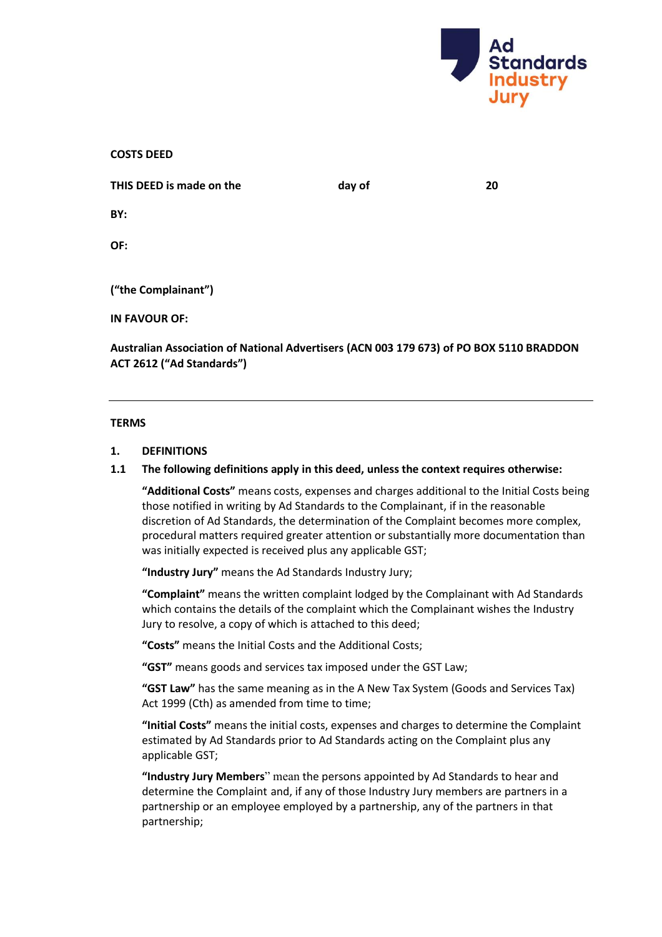

**COSTS DEED**

**THIS DEED is made on the day of 20** 

**BY:**

**OF:**

**("the Complainant")**

**IN FAVOUR OF:**

**Australian Association of National Advertisers (ACN 003 179 673) of PO BOX 5110 BRADDON ACT 2612 ("Ad Standards")**

#### **TERMS**

### **1. DEFINITIONS**

## **1.1 The following definitions apply in this deed, unless the context requires otherwise:**

**"Additional Costs"** means costs, expenses and charges additional to the Initial Costs being those notified in writing by Ad Standards to the Complainant, if in the reasonable discretion of Ad Standards, the determination of the Complaint becomes more complex, procedural matters required greater attention or substantially more documentation than was initially expected is received plus any applicable GST;

**"Industry Jury"** means the Ad Standards Industry Jury;

**"Complaint"** means the written complaint lodged by the Complainant with Ad Standards which contains the details of the complaint which the Complainant wishes the Industry Jury to resolve, a copy of which is attached to this deed;

**"Costs"** means the Initial Costs and the Additional Costs;

**"GST"** means goods and services tax imposed under the GST Law;

**"GST Law"** has the same meaning as in the A New Tax System (Goods and Services Tax) Act 1999 (Cth) as amended from time to time;

**"Initial Costs"** means the initial costs, expenses and charges to determine the Complaint estimated by Ad Standards prior to Ad Standards acting on the Complaint plus any applicable GST;

**"Industry Jury Members**" mean the persons appointed by Ad Standards to hear and determine the Complaint and, if any of those Industry Jury members are partners in a partnership or an employee employed by a partnership, any of the partners in that partnership;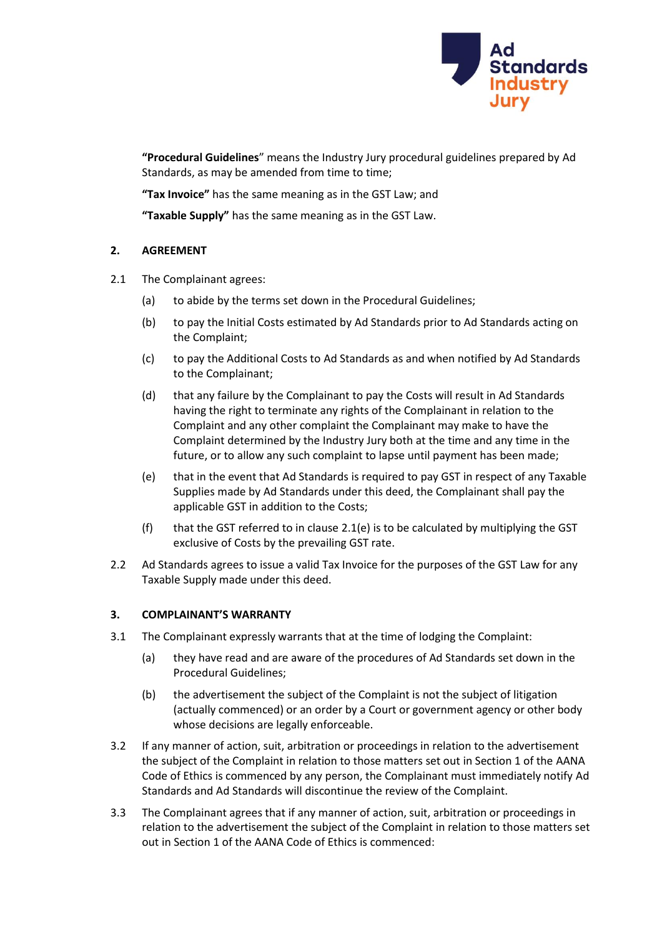

**"Procedural Guidelines**" means the Industry Jury procedural guidelines prepared by Ad Standards, as may be amended from time to time;

**"Tax Invoice"** has the same meaning as in the GST Law; and

**"Taxable Supply"** has the same meaning as in the GST Law.

### **2. AGREEMENT**

- 2.1 The Complainant agrees:
	- (a) to abide by the terms set down in the Procedural Guidelines;
	- (b) to pay the Initial Costs estimated by Ad Standards prior to Ad Standards acting on the Complaint;
	- (c) to pay the Additional Costs to Ad Standards as and when notified by Ad Standards to the Complainant;
	- (d) that any failure by the Complainant to pay the Costs will result in Ad Standards having the right to terminate any rights of the Complainant in relation to the Complaint and any other complaint the Complainant may make to have the Complaint determined by the Industry Jury both at the time and any time in the future, or to allow any such complaint to lapse until payment has been made;
	- (e) that in the event that Ad Standards is required to pay GST in respect of any Taxable Supplies made by Ad Standards under this deed, the Complainant shall pay the applicable GST in addition to the Costs;
	- (f) that the GST referred to in clause 2.1(e) is to be calculated by multiplying the GST exclusive of Costs by the prevailing GST rate.
- 2.2 Ad Standards agrees to issue a valid Tax Invoice for the purposes of the GST Law for any Taxable Supply made under this deed.

### **3. COMPLAINANT'S WARRANTY**

- 3.1 The Complainant expressly warrants that at the time of lodging the Complaint:
	- (a) they have read and are aware of the procedures of Ad Standards set down in the Procedural Guidelines;
	- (b) the advertisement the subject of the Complaint is not the subject of litigation (actually commenced) or an order by a Court or government agency or other body whose decisions are legally enforceable.
- 3.2 If any manner of action, suit, arbitration or proceedings in relation to the advertisement the subject of the Complaint in relation to those matters set out in Section 1 of the AANA Code of Ethics is commenced by any person, the Complainant must immediately notify Ad Standards and Ad Standards will discontinue the review of the Complaint.
- 3.3 The Complainant agrees that if any manner of action, suit, arbitration or proceedings in relation to the advertisement the subject of the Complaint in relation to those matters set out in Section 1 of the AANA Code of Ethics is commenced: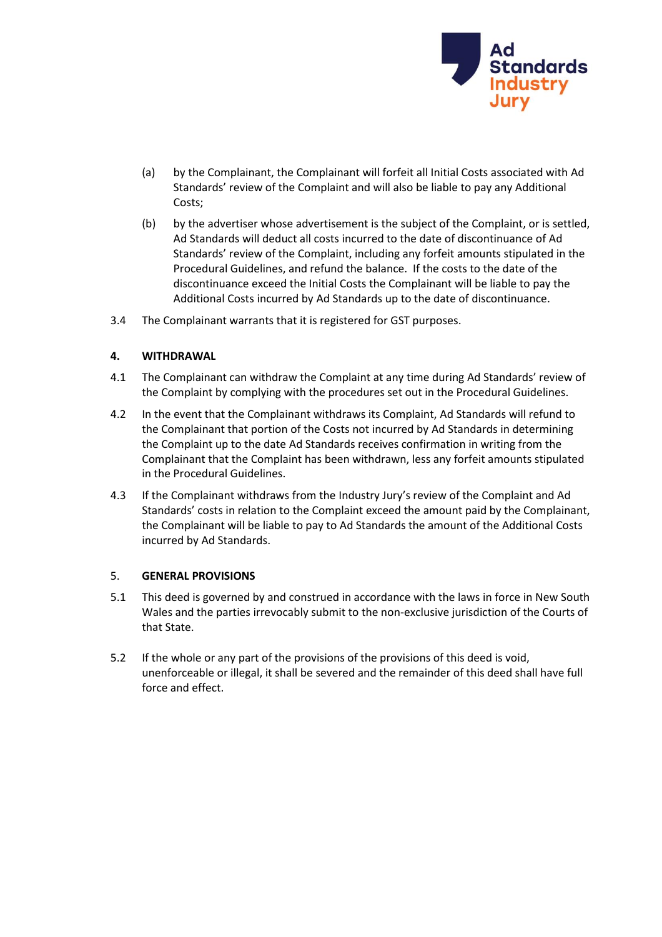

- (a) by the Complainant, the Complainant will forfeit all Initial Costs associated with Ad Standards' review of the Complaint and will also be liable to pay any Additional Costs;
- (b) by the advertiser whose advertisement is the subject of the Complaint, or is settled, Ad Standards will deduct all costs incurred to the date of discontinuance of Ad Standards' review of the Complaint, including any forfeit amounts stipulated in the Procedural Guidelines, and refund the balance. If the costs to the date of the discontinuance exceed the Initial Costs the Complainant will be liable to pay the Additional Costs incurred by Ad Standards up to the date of discontinuance.
- 3.4 The Complainant warrants that it is registered for GST purposes.

# **4. WITHDRAWAL**

- 4.1 The Complainant can withdraw the Complaint at any time during Ad Standards' review of the Complaint by complying with the procedures set out in the Procedural Guidelines.
- 4.2 In the event that the Complainant withdraws its Complaint, Ad Standards will refund to the Complainant that portion of the Costs not incurred by Ad Standards in determining the Complaint up to the date Ad Standards receives confirmation in writing from the Complainant that the Complaint has been withdrawn, less any forfeit amounts stipulated in the Procedural Guidelines.
- 4.3 If the Complainant withdraws from the Industry Jury's review of the Complaint and Ad Standards' costs in relation to the Complaint exceed the amount paid by the Complainant, the Complainant will be liable to pay to Ad Standards the amount of the Additional Costs incurred by Ad Standards.

### 5. **GENERAL PROVISIONS**

- 5.1 This deed is governed by and construed in accordance with the laws in force in New South Wales and the parties irrevocably submit to the non-exclusive jurisdiction of the Courts of that State.
- 5.2 If the whole or any part of the provisions of the provisions of this deed is void, unenforceable or illegal, it shall be severed and the remainder of this deed shall have full force and effect.